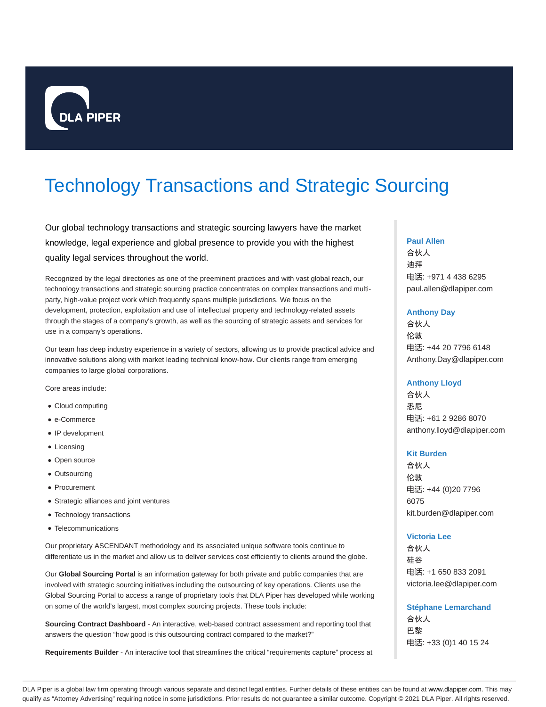

# Technology Transactions and Strategic Sourcing

Our global technology transactions and strategic sourcing lawyers have the market knowledge, legal experience and global presence to provide you with the highest quality legal services throughout the world.

Recognized by the legal directories as one of the preeminent practices and with vast global reach, our technology transactions and strategic sourcing practice concentrates on complex transactions and multiparty, high-value project work which frequently spans multiple jurisdictions. We focus on the development, protection, exploitation and use of intellectual property and technology-related assets through the stages of a company's growth, as well as the sourcing of strategic assets and services for use in a company's operations.

Our team has deep industry experience in a variety of sectors, allowing us to provide practical advice and innovative solutions along with market leading technical know-how. Our clients range from emerging companies to large global corporations.

Core areas include:

- Cloud computing
- e-Commerce
- IP development
- Licensing
- Open source
- Outsourcing
- Procurement
- Strategic alliances and joint ventures
- Technology transactions
- Telecommunications

Our proprietary ASCENDANT methodology and its associated unique software tools continue to differentiate us in the market and allow us to deliver services cost efficiently to clients around the globe.

Our **Global Sourcing Portal** is an information gateway for both private and public companies that are involved with strategic sourcing initiatives including the outsourcing of key operations. Clients use the Global Sourcing Portal to access a range of proprietary tools that DLA Piper has developed while working on some of the world's largest, most complex sourcing projects. These tools include:

**Sourcing Contract Dashboard** - An interactive, web-based contract assessment and reporting tool that answers the question "how good is this outsourcing contract compared to the market?"

**Requirements Builder** - An interactive tool that streamlines the critical "requirements capture" process at

#### **Paul Allen**

合伙人 迪拜 电话: +971 4 438 6295 paul.allen@dlapiper.com

#### **Anthony Day**

合伙人 伦敦 电话: +44 20 7796 6148 Anthony.Day@dlapiper.com

# **Anthony Lloyd**

合伙人 悉尼 电话: +61 2 9286 8070 anthony.lloyd@dlapiper.com

### **Kit Burden**

合伙人 伦敦 电话: +44 (0)20 7796 6075 kit.burden@dlapiper.com

# **Victoria Lee**

合伙人 硅谷 电话: +1 650 833 2091 victoria.lee@dlapiper.com

**Stéphane Lemarchand**

合伙人 巴黎 电话: +33 (0)1 40 15 24

DLA Piper is a global law firm operating through various separate and distinct legal entities. Further details of these entities can be found at www.dlapiper.com. This may qualify as "Attorney Advertising" requiring notice in some jurisdictions. Prior results do not guarantee a similar outcome. Copyright @ 2021 DLA Piper. All rights reserved.